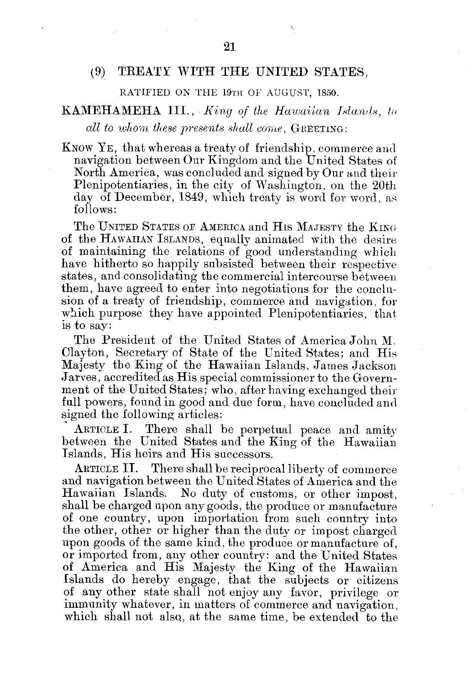## (9) TREATY WITH THE UNITED STATES,

RATIFIED ON THE 19th OF AUGUST, 1850.

## KAMEHAMEHA III., King of the Hawaiian Islands, to

all to whom these presents shall come,  $G_{\text{REFING}}$ :

Know Te, that whereas <sup>a</sup> treaty of friendship, commerce and navigation between Our Kingdom and the United States of North America, was concluded and signed by Our and their Plenipotentiaries, in the city of Washington, on the 20th day of December, 1849, which treaty is word for word, as follows:

The UNITED STATES OF AMERICA and HIS MAJESTY the KING of the HAWAIIAN ISLANDS, equally animated with the desire of maintaining the relations of good understanding which have hitherto so happily subsisted between their respective states, and consolidating the commercial intercourse between them, have agreed to enter into negotiations for the conclusion of a treaty of friendship, commerce and navigation, for which purpose they have appointed Plenipotentiaries, that is to say:

The President of the United States of America John M. Clayton, Secretary of State of the United States; and His Majesty the King of the Hawaiian Islands, James Jackson Jarves, accredited as His special commissioner to the Government of the United States; who, after having exchanged their full powers, found in good and due form, have concluded and signed the following articles:

ARTICLE I. There shall be perpetual peace and amity between the United States and the King of the Hawaiian Islands, His heirs and His successors.

Article II. There shall be reciprocal liberty of commerce and navigation between the United States of America and the Hawaiian Islands. No duty of customs, or other impost, shall be charged upon any goods, the produce or manufacture of one country, upon importation from such country into the other, other or higher than the duty or impost charged upon goods of the same kind, the produce or manufacture of, or imported from, any other country: and the United States of America and His Majesty the King of the Hawaiian of one country, upon importation from such country into<br>the other, other or higher than the duty or impost charged<br>upon goods of the same kind, the produce or manufacture of,<br>or imported from, any other country: and the Un of any other state shall not enjoy any favor, privilege or immunity whatever, in matters of commerce and navigation, which shall not also, at the same time, be extended to the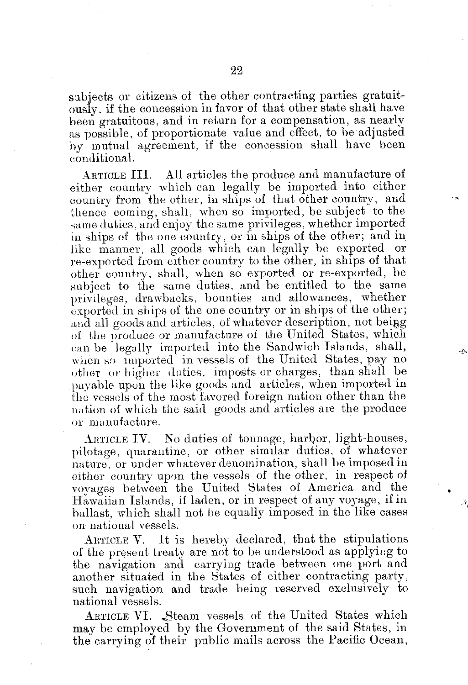subjects or citizens of the other contracting parties gratuitously, if the concession in favor of that other state shall have been gratuitous, and in return for a compensation, as nearly as possible, of proportionate value and effect, to be adjusted by mutual agreement, if the concession shall have been conditional.

ARTICLE III. All articles the produce and manufacture of either country which can legally be imported into either country from the other, in ships of that other country, and thence coming, shall, when so imported, be subject to the same duties, and enjoy the same privileges, whether imported in ships of the one country, or in ships of the other; and in like manner, all goods which can legally be exported or re-exported from either country to the other, in ships of that other country, shall, when so exported or re-exported, be subject to the same duties, and be entitled to the same privileges, drawbacks, bounties and allowances, whether exported in ships of the one country or in ships of the other; and all goods and articles, of whatever description, not beigg of the produce or manufacture of the United States, which can be legally imported into the Sandwich Islands, shall, when so imported in vessels of the United States, pay no other or higher duties, imposts or charges, than shall be payable upon the like goods and articles, when imported in the vessels of the most favored foreign nation other than the nation of which the said goods and articles are the produce or manufacture.

ARTICLE IV. No duties of tonnage, harbor, light-houses, pilotage, quarantine, or other similar duties, of whatever nature, or under whatever denomination, shall be imposed in ARTICLE IV. No duties of tonnage, harbor, light-houses, pilotage, quarantine, or other similar duties, of whatever nature, or under whatever denomination, shall b voyages between the United States of America and the Hawaiian Islands, if laden, or in respect of any voyage, if in ballast, which shall not be equally imposed in the like cases on national vessels.

ARTICLE V. It is hereby declared, that the stipulations of the present treaty are not to be understood as applying to the navigation and carrying trade between one port and another situated in the States of either contracting party, such navigation and trade being reserved exclusively to national vessels.

ARTICLE VI. . Steam vessels of the United States which may be employed by the Government of the said States, in the carrying of their public mails across the Pacific Ocean,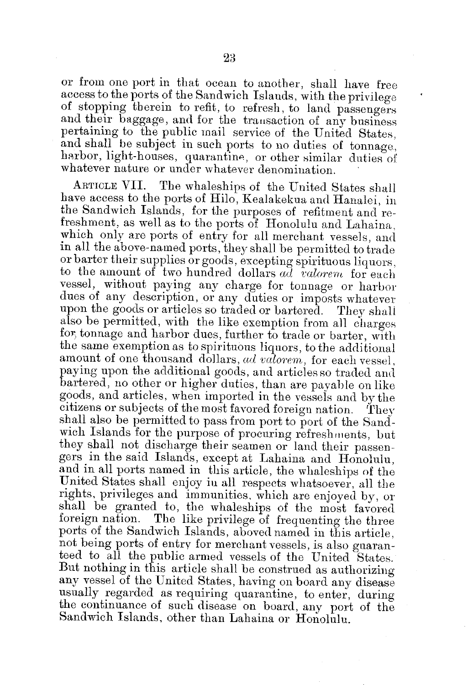or from one port in that ocean to another, shall have free access to the ports of the Sandwich Islands, with the privilege of stopping therein to refit, to refresh, to land passengers and their baggage, and for the transaction of any business pertaining to the public mail service of the United States, and shall be subject in such ports to no duties of tonnage, harbor, light-houses, quarantine, or other similar duties of whatever nature or under whatever denomination.

ARTICLE VII. The whaleships of the United States shall have access to the ports of Hilo, Kealakekua and Hanalei, in the Sandwich Islands, for the purposes of refitment and refreshment, as well as to the ports of Honolulu and Lahaina. which only are ports of entry for all merchant vessels, and in all the above-named ports, they shall be permitted to trade or barter their supplies or goods, excepting spirituous liquors, to the amount of two hundred dollars  $a\bar{d}$  valorem for each vessel, without paying any charge for tonnage or harbor dues of any description, or any duties or imposts whatever upon the goods or articles so traded or bartered. They shall also be permitted, with the like exemption from all charges for tonnage and harbor dues, further to trade or barter, with the same exemption as to spirituous liquors, to the additional amount of one thousand dollars, ad valorem, for each vessel, paying upon the additional goods, and articles so traded and bartered, no other or higher duties, than are payable on like goods, and articles, when imported in the vessels and by the citizens or subjects of the most favored foreign nation. They shall also be permitted to pass from port to port of the Sandwich Islands for the purpose of procuring refreshments, but they shall not discharge their seamen or land their passengers in the said Islands, except at Lahaina and Honolulu, and in all ports named in this article, the whaleships of the United States shall enjoy iu all respects whatsoever, all the rights, privileges and immunities, which are enjoyed by, or shall be granted to, the whaleships of the most favored foreign nation. The like privilege of frequenting the three ports of the Sandwich Islands, aboved named in this article, not being ports of entry for merchant vessels, is also guaranteed to all the public armed vessels of the United States. But nothing in this article shall be construed as authorizing any vessel of the United States, having on board any disease usually regarded as requiring quarantine, to enter, during the continuance of such disease on board, any port of the Sandwich Islands, other than Lahaina or Honolulu.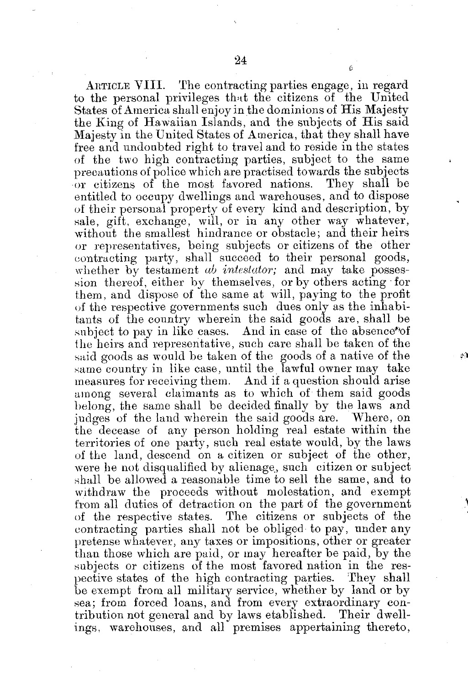ARTICLE VIII. The contracting parties engage, in regard to the personal privileges that the citizens of the United States of America shall enjoy in the dominions of His Majesty the King of Hawaiian Islands, and the subjects of His said Majesty in the United States of America, that they shall have free and undoubted right to travel and to reside in the states of the two high contracting parties, subject to the same precautions of police which are practised towards the subjects or citizens of the most favored nations. They shall be entitled to occupy dwellings and warehouses, and to dispose of their personal property of every kind and description, by sale, gift, exchange, will, or in any other way whatever, without the smallest hindrance or obstacle; and their heirs or representatives, being subjects or citizens of the other contracting party, shall succeed to their personal goods, whether by testament *ab intestator*; and may take possession thereof, either by themselves, or by others acting for them, and dispose of the same at will, paying to the profit contracting party, shall succeed to their personal goods, whether by testament  $ab$  intestator; and may take possession thereof, either by themselves, or by others acting for them, and dispose of the same at will, paying t subject to pay in like cases. And in case of the absence of the heirs and representative, such care shall be taken of the said goods as would be taken of the goods of a native of the same country in like case, until the lawful owner may take measures for receiving them. And if a question should arise among several claimants as to which of them said goods belong, the same shall be decided finally by the laws and judges of the land wherein the said goods are. "Where, on the decease of any person holding real estate within the territories of one party, such real estate would, by the laws of the land, descend on a citizen or subject of the other, were he not disqualified by alienage, such citizen or subject shall be allowed a reasonable time to sell the same, and to withdraw the proceeds without molestation, and exempt from all duties of detraction on the part of the government of the respective states. The citizens or subjects of the contracting parties shall not be obliged to pay, under any pretense whatever, any taxes or impositions, other or greater than those which are paid, or may hereafter be paid, by the subjects or citizens of the most favored nation in the res pective states of the high contracting parties. They shall be exempt from all military service, whether by land or by sea; from forced loans, and from every extraordinary contribution not general and by laws etablished. Their dwellings, warehouses, and all premises appertaining thereto,

e>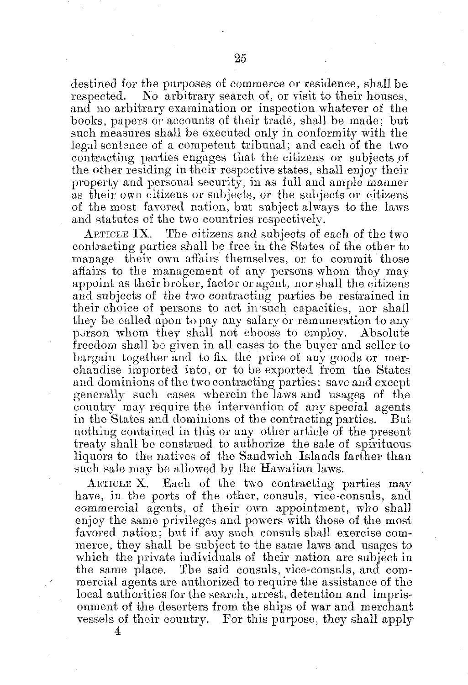destined for the purposes of commerce or residence, shall be respected. No arbitrary search of, or visit to their houses, No arbitrary search of, or visit to their houses, and no arbitrary examination or inspection whatever of the books, papers or accounts of their trade, shall be made; but such measures shall be executed only in conformity with the legal sentence of a competent tribunal; and each of the two contracting parties engages that the citizens or subjects pf the other residing in their respective states, shall enjoy their property and personal security, in as full and ample manner as their own citizens or subjects, or the subjects or citizens of the most favored nation, but subject always to the laws and statutes of the two countries respectively.

ARTICLE IX. The citizens and subjects of each of the two contracting parties shall be free in the States of the other to manage their own affairs themselves, or to commit those affairs to the management of any persons whom they may appoint as their broker, factor or agent, nor shall the citizens and subjects of the two contracting parties be restrained in their choice of persons to act in such capacities, nor shall they be called upon to pay any salary or remuneration to any porson whom they shall not choose to employ. Absolute freedom shall be given in all cases to the buyer and seller to bargain together and to fix the price of any goods or merchandise imported into, or to be exported from the States and dominions of the two contracting parties; save and except generally such cases wherein the laws and usages of the country may require the intervention of any special agents in the States and dominions of the contracting parties. But nothing contained in this or any other article of the present treaty shall be construed to authorize the sale of spirituous liquors to the natives of the Sandwich Islands farther than such sale may be allowed by the Hawaiian laws.

ARTICLE X. Each of the two contracting parties may have, in the ports of the other, consuls, vice-consuls, and commercial agents, of their own appointment, who shall enjoy the same privileges and powers with those of the most favored nation; but if any such consuls shall exercise commerce, they shall be subject to the same laws and usages to which the private individuals of their nation are subject in the same place. The said consuls, vice-consuls, and commercial agents are authorized to require the assistance of the local authorities for the search, arrest, detention and imprisonment of the deserters from the ships of war and merchant vessels of their country. For this purpose, they shall apply

4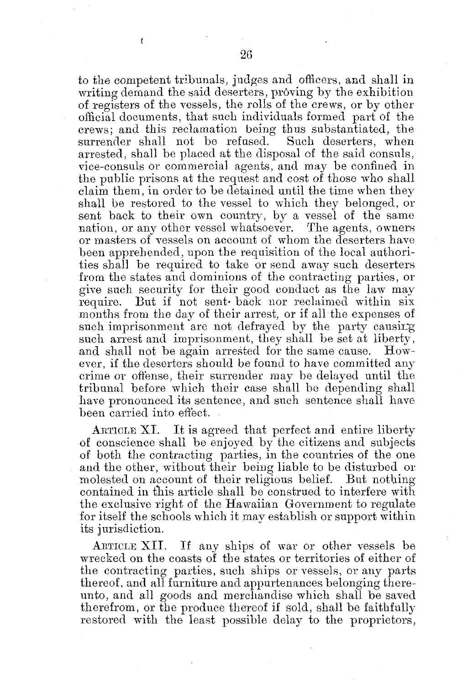to the competent tribunals, judges and officers, and shall in writing demand the said deserters, proving by the exhibition of registers of the vessels, the rolls of the crews, or by other official documents, that such individuals formed part of the crews; and this reclamation being thus substantiated, the surrender shall not be refused. arrested, shall be placed at the disposal of the said consuls, vice-consuls or commercial agents, and may be confined in the public prisons at the request and cost of those who shall claim them, in order to be detained until the time when they shall be restored to the vessel to which they belonged, or sent back to their own country, by a vessel of the same nation, or any other vessel whatsoever. The agents, owners nation, or any other vessel whatsoever. or masters of vessels on account of whom the deserters have been apprehended, upon the requisition of the local authorities shall be required to take or send away such deserters from the states and dominions of the contracting parties, or give such security for their good conduct as the law may require. But if not sent back nor reclaimed within six months from the day of their arrest, or if all the expenses of such imprisonment are not defrayed by the party causing such arrest and imprisonment, they shall be set at liberty, and shall not be again arrested for the same cause. However, if the deserters should be found to have committed any crime or offense, their surrender may be delayed until the tribunal before which their case shall be depending shall have pronounced its sentence, and such sentence shall have been carried into effect.

ARTICLE XI. It is agreed that perfect and entire liberty of conscience shall be enjoyed by the citizens and subjects been carried into effect.<br>ARTICLE XI. It is agreed that perfect and entire liberty<br>of conscience shall be enjoyed by the citizens and subjects<br>of both the contracting parties, in the countries of the one<br>and the other, wit molested on account of their religious belief. But nothingcontained in £his article shall be construed to interfere with the exclusive right of the Hawaiian Government to regulate for itself the schools which it may establish or support within its jurisdiction.

ARTICLE XII. If any ships of war or other vessels be wrecked on the coasts of the states or territories of either of the contracting parties, such ships or vessels, or any parts thereof, and all furniture and appurtenances belonging thereunto, and all goods and merchandise which shall be saved therefrom, or the produce thereof if sold, shall be faithfully restored with the least possible delay to the proprietors,

 $\mathfrak{g}$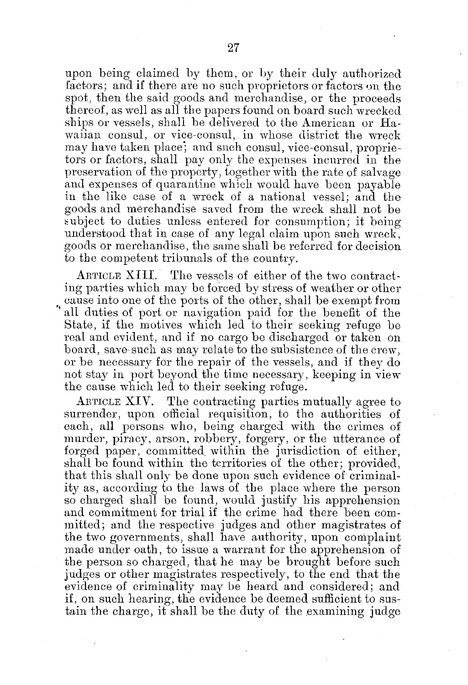upon being claimed by them, or by their duly authorized 27<br>
upon being claimed by them, or by their duly authorized<br>
factors; and if there are no such proprietors or factors on the<br>
spot, then the said goods and merchandise, or the proceeds thereof, as well as all the papers found on board such wrecked ships or vessels, shall be delivered to the American or Hawaiian consul, or vice-consul, in whose district the wreck may have taken place; and snch consul, vice-consul, proprietors or factors, shall pay only the expenses incurred in the preservation of the property, together with the rate of salvage and expenses of quarantine which would have been payable in the like case of a wreck of a national vessel; and the goods and merchandise saved from the wreck shall not be subject to duties unless entered for consumption; it being understood that in case of any legal claim upon such wreck, goods or merchandise, the same shall be referred for decision to the competent tribunals of the country.

ARTICLE XIII. The vessels of either of the two contracting parties which may be forced by stress of weather or other cause into one of the ports of the other, shall be exempt from all duties of port or navigation paid for the benefit of the State, if the motives which led to their seeking refuge be real and evident, and if no cargo be discharged or taken on board, save- such as may relate to the subsistence of the crew, or be necessary for the repair of the vessels, and if they do not stay in port beyond the time necessary, keeping in view the cause which led to their seeking refuge.

ARTICLE XIV. The contracting parties mutually agree to surrender, upon official requisition, to the authorities of each, all persons who, being charged with the crimes of murder, piracy, arson, robbery, forgery, or the utterance of forged paper, committed within the jurisdiction of either, ARTICLE XIV. The contracting parties mutually agree to<br>surrender, upon official requisition, to the authorities of<br>each, all persons who, being charged with the crimes of<br>murder, piracy, arson, robbery, forgery, or the utt that this shall only be done upon such evidence of criminality as, according to the laws of the place where the person so charged shall be found, would justify his apprehension and commitment for trial if the crime had there been committed; and the respective judges and other magistrates of the two governments, shall have authority, upon complaint made under oath, to issue a warrant for the apprehension of the person so charged, that he may be brought before such judges or other magistrates respectively, to the end that the evidence of criminality may be heard and considered; and if, on such hearing, the evidence be deemed sufficient to sus tain the charge, it shall be the duty of the examining judge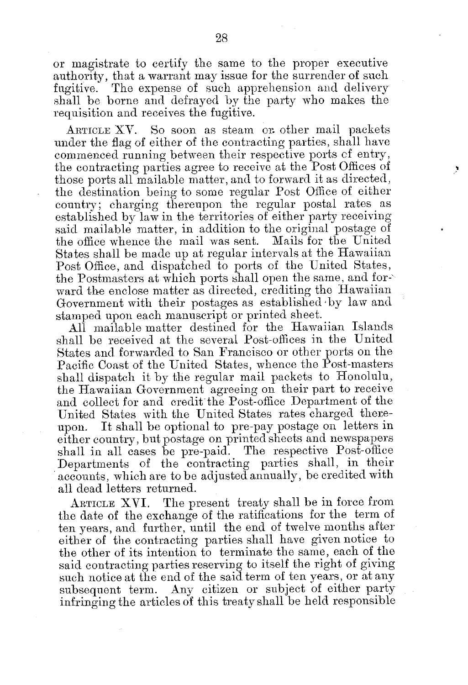or magistrate to certify the same to the proper executive authority, that a warrant may issue for the surrender of such fugitive. The expense of such apprehension and delivery shall be borne and defrayed by the party who makes the requisition and receives the fugitive.

ARTICLE XV. So soon as steam or other mail packets under the flag of either of the contracting parties, shall have commenced running between their respective ports cf entry, the contracting parties agree to receive at the Post Offices of those ports all mailable matter, and to forward it as directed, the destination being to some regular Post Office of either country; charging thereupon the regular postal rates as established by law in the territories of either party receivingsaid mailable matter, in addition to the original postage of the office whence the mail was sent. Mails for the United the office whence the mail was sent. States shall be made up at regular intervals at the Hawaiian Post Office, and dispatched to ports of the United States, the Postmasters at which ports shall open the same, and forward the enclose matter as directed, crediting the Hawaiian Government with their postages as established by law and stamped upon each manuscript or printed sheet.

All mailable matter destined for the Hawaiian Islands shall be received at the several Post-offices in the United States and forwarded to San Francisco or other ports on the Pacific Coast of the United States, whence the Post-masters shall dispatch it by the regular mail packets to Honolulu, the Hawaiian Government agreeing on their part to receive and collect for and credit' the Post-office Department of the United States with the United States rates charged thereupon. It shall be optional to pre-pay postage on letters in either country, but postage on printed sheets and newspapers shall in all cases be pre-paid. The respective Post-office Departments of the contracting parties shall, in their accounts, which are to be adjusted annually, be credited with all dead letters returned.

ARTICLE XVI. The present treaty shall be in force from the date of the exchange of the ratifications for the term of ten years, and further, until the end of twelve months after either of the contracting parties shall have given notice to the other of its intention to terminate the same, each of the said contracting parties reserving to itself the right of giving such notice at the end of the said term of ten years, or at any subsequent term. Any citizen or subject of either party infringing the articles of this treaty shall be held responsible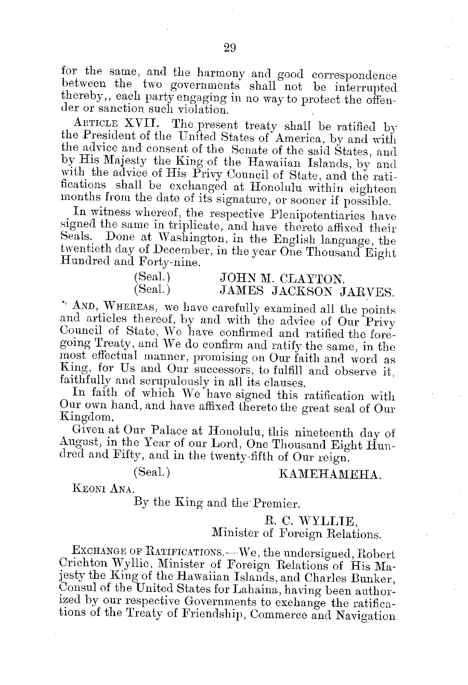for the same, and the harmony and good correspondence between the two governments shall not be interrupted thereby,, each party engaging in no way to protect the offen- der or sanction such violation.

ARTICLE XVII. The present treaty shall be ratified by the President of the United States of America, by and with the advice and consent of the Senate of the said States, and by His Majesty the King of the Hawaiian Islands, by and<br>with the advice of His Privy Council of State, and the ratifications shall be exchanged at Honolulu within eighteen months from the date of its signature, or sooner if possible.

In witness whereof, the respective Plenipotentiaries have signed the same in triplicate, and have thereto affixed their<br>Seals. Done at Washington in the English language the Done at Washington, in the English language, the twentieth day of December, in the year One Thousand Eight Hundred and Forty-nine.

| (Seal.) | JOHN M. CLAYTON.      |
|---------|-----------------------|
| (Seal.) | JAMES JACKSON JARVES. |

\*> And, Whereas, we have carefully examined all the points and articles thereof, by and with the advice of Our Privy going Treaty, and We do confirm and ratify the same, in the most effectual manner, promising on Our faith and word as King, for Us and Our successors, to fulfill and observe it, faithfully and scrupulously in all its clauses.

In faith of which We have signed this ratification with Our own hand, and have affixed thereto the great seal of Our Kingdom.

Given at Our Palace at Honolulu, this nineteenth day of August, in the Year of our Lord, One Thousand Eight Hundred and Fifty, and in the twenty-fifth of Our reign.

## (Seal.) **KAMEHAMEHA.**

Keoni Ana.

By the King and the Premier.

## E. C. WYLLIE,

Minister of Foreign Eelations.

Exchange of Eatieications.—We, the undersigned, Eobert Crichton Wyllie, Minister of Foreign Relations of His Majesty the King of the Hawaiian Islands, and Charles Bunker, Consul of the United States for Lahaina, having been authortions of the Treaty of Friendship, Commerce and Navigation